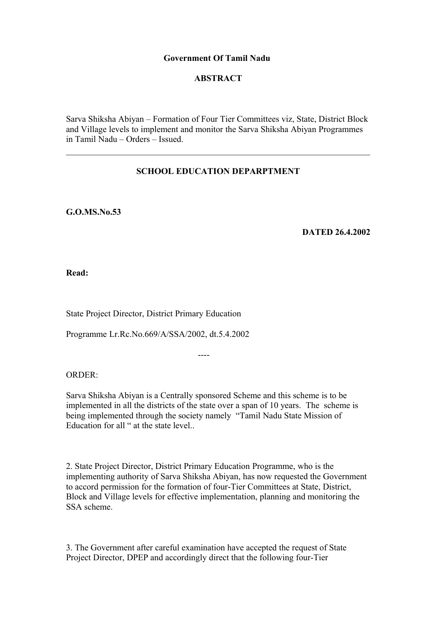## **Government Of Tamil Nadu**

# **ABSTRACT**

Sarva Shiksha Abiyan – Formation of Four Tier Committees viz, State, District Block and Village levels to implement and monitor the Sarva Shiksha Abiyan Programmes in Tamil Nadu – Orders – Issued.

# **SCHOOL EDUCATION DEPARPTMENT**

**G.O.MS.No.53**

**DATED 26.4.2002**

**Read:**

State Project Director, District Primary Education

Programme Lr.Rc.No.669/A/SSA/2002, dt.5.4.2002

----

ORDER:

Sarva Shiksha Abiyan is a Centrally sponsored Scheme and this scheme is to be implemented in all the districts of the state over a span of 10 years. The scheme is being implemented through the society namely "Tamil Nadu State Mission of Education for all " at the state level..

2. State Project Director, District Primary Education Programme, who is the implementing authority of Sarva Shiksha Abiyan, has now requested the Government to accord permission for the formation of four-Tier Committees at State, District, Block and Village levels for effective implementation, planning and monitoring the SSA scheme.

3. The Government after careful examination have accepted the request of State Project Director, DPEP and accordingly direct that the following four-Tier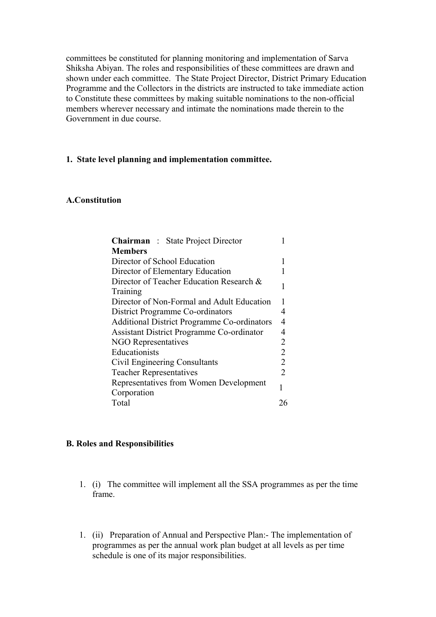committees be constituted for planning monitoring and implementation of Sarva Shiksha Abiyan. The roles and responsibilities of these committees are drawn and shown under each committee. The State Project Director, District Primary Education Programme and the Collectors in the districts are instructed to take immediate action to Constitute these committees by making suitable nominations to the non-official members wherever necessary and intimate the nominations made therein to the Government in due course.

### **1. State level planning and implementation committee.**

### **A.Constitution**

| <b>Chairman</b> : State Project Director           |                |
|----------------------------------------------------|----------------|
| <b>Members</b>                                     |                |
| Director of School Education                       |                |
| Director of Elementary Education                   |                |
| Director of Teacher Education Research &           |                |
| Training                                           |                |
| Director of Non-Formal and Adult Education         | 1              |
| District Programme Co-ordinators                   | 4              |
| <b>Additional District Programme Co-ordinators</b> | 4              |
| Assistant District Programme Co-ordinator          | 4              |
| <b>NGO Representatives</b>                         | 2              |
| Educationists                                      | 2              |
| Civil Engineering Consultants                      | $\overline{2}$ |
| <b>Teacher Representatives</b>                     | 2              |
| Representatives from Women Development             | 1              |
| Corporation                                        |                |
| Total                                              | 26             |

#### **B. Roles and Responsibilities**

- 1. (i) The committee will implement all the SSA programmes as per the time frame.
- 1. (ii) Preparation of Annual and Perspective Plan:- The implementation of programmes as per the annual work plan budget at all levels as per time schedule is one of its major responsibilities.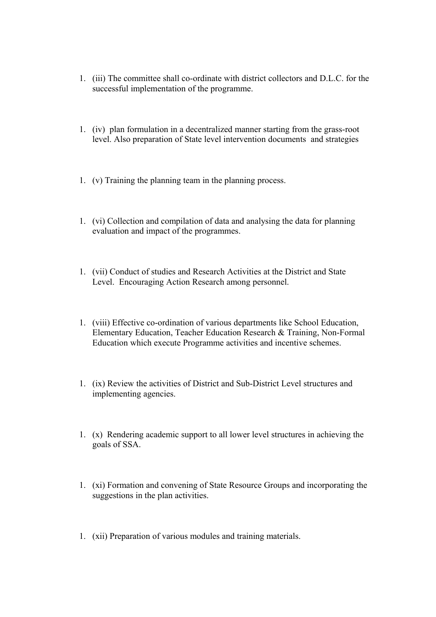- 1. (iii) The committee shall co-ordinate with district collectors and D.L.C. for the successful implementation of the programme.
- 1. (iv) plan formulation in a decentralized manner starting from the grass-root level. Also preparation of State level intervention documents and strategies
- 1. (v) Training the planning team in the planning process.
- 1. (vi) Collection and compilation of data and analysing the data for planning evaluation and impact of the programmes.
- 1. (vii) Conduct of studies and Research Activities at the District and State Level. Encouraging Action Research among personnel.
- 1. (viii) Effective co-ordination of various departments like School Education, Elementary Education, Teacher Education Research & Training, Non-Formal Education which execute Programme activities and incentive schemes.
- 1. (ix) Review the activities of District and Sub-District Level structures and implementing agencies.
- 1. (x) Rendering academic support to all lower level structures in achieving the goals of SSA.
- 1. (xi) Formation and convening of State Resource Groups and incorporating the suggestions in the plan activities.
- 1. (xii) Preparation of various modules and training materials.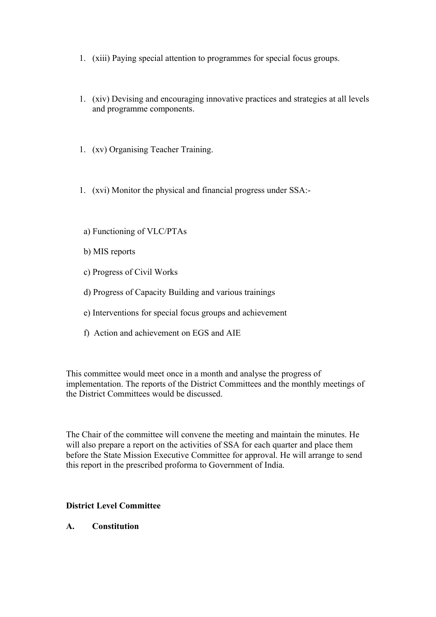- 1. (xiii) Paying special attention to programmes for special focus groups.
- 1. (xiv) Devising and encouraging innovative practices and strategies at all levels and programme components.
- 1. (xv) Organising Teacher Training.
- 1. (xvi) Monitor the physical and financial progress under SSA:-
- a) Functioning of VLC/PTAs
- b) MIS reports
- c) Progress of Civil Works
- d) Progress of Capacity Building and various trainings
- e) Interventions for special focus groups and achievement
- f) Action and achievement on EGS and AIE

This committee would meet once in a month and analyse the progress of implementation. The reports of the District Committees and the monthly meetings of the District Committees would be discussed.

The Chair of the committee will convene the meeting and maintain the minutes. He will also prepare a report on the activities of SSA for each quarter and place them before the State Mission Executive Committee for approval. He will arrange to send this report in the prescribed proforma to Government of India.

### **District Level Committee**

**A. Constitution**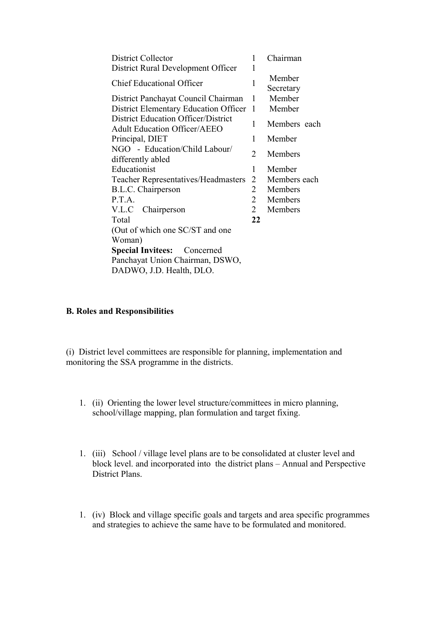| District Collector                                                                | 1              | Chairman            |
|-----------------------------------------------------------------------------------|----------------|---------------------|
| District Rural Development Officer                                                | 1              |                     |
| <b>Chief Educational Officer</b>                                                  | 1              | Member<br>Secretary |
| District Panchayat Council Chairman                                               | 1              | Member              |
| <b>District Elementary Education Officer</b>                                      | $\mathbf{1}$   | Member              |
| <b>District Education Officer/District</b><br><b>Adult Education Officer/AEEO</b> | 1              | Members each        |
| Principal, DIET                                                                   | 1              | Member              |
| NGO - Education/Child Labour/<br>differently abled                                | 2              | <b>Members</b>      |
| Educationist                                                                      | 1              | Member              |
| <b>Teacher Representatives/Headmasters</b>                                        | 2              | Members each        |
| B.L.C. Chairperson                                                                | $\overline{2}$ | Members             |
| P.T.A.                                                                            | $\overline{2}$ | Members             |
| V.L.C Chairperson                                                                 | $\overline{2}$ | Members             |
| Total                                                                             | 22             |                     |
| (Out of which one SC/ST and one                                                   |                |                     |
| Woman)                                                                            |                |                     |
| <b>Special Invitees:</b> Concerned                                                |                |                     |
| Panchayat Union Chairman, DSWO,                                                   |                |                     |
| DADWO, J.D. Health, DLO.                                                          |                |                     |

### **B. Roles and Responsibilities**

(i) District level committees are responsible for planning, implementation and monitoring the SSA programme in the districts.

- 1. (ii) Orienting the lower level structure/committees in micro planning, school/village mapping, plan formulation and target fixing.
- 1. (iii) School / village level plans are to be consolidated at cluster level and block level. and incorporated into the district plans – Annual and Perspective District Plans.
- 1. (iv) Block and village specific goals and targets and area specific programmes and strategies to achieve the same have to be formulated and monitored.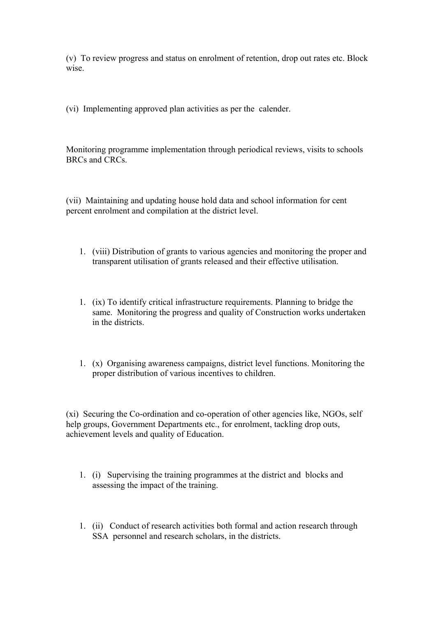(v) To review progress and status on enrolment of retention, drop out rates etc. Block wise

(vi) Implementing approved plan activities as per the calender.

Monitoring programme implementation through periodical reviews, visits to schools BRCs and CRCs.

(vii) Maintaining and updating house hold data and school information for cent percent enrolment and compilation at the district level.

- 1. (viii) Distribution of grants to various agencies and monitoring the proper and transparent utilisation of grants released and their effective utilisation.
- 1. (ix) To identify critical infrastructure requirements. Planning to bridge the same. Monitoring the progress and quality of Construction works undertaken in the districts.
- 1. (x) Organising awareness campaigns, district level functions. Monitoring the proper distribution of various incentives to children.

(xi) Securing the Co-ordination and co-operation of other agencies like, NGOs, self help groups, Government Departments etc., for enrolment, tackling drop outs, achievement levels and quality of Education.

- 1. (i) Supervising the training programmes at the district and blocks and assessing the impact of the training.
- 1. (ii) Conduct of research activities both formal and action research through SSA personnel and research scholars, in the districts.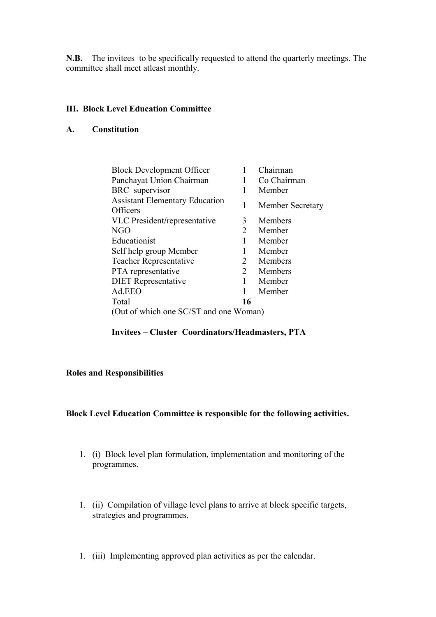**N.B.** The invitees to be specifically requested to attend the quarterly meetings. The committee shall meet atleast monthly.

## **III. Block Level Education Committee**

### **A. Constitution**

| <b>Block Development Officer</b>                  |    | Chairman                |
|---------------------------------------------------|----|-------------------------|
| Panchayat Union Chairman                          |    | Co Chairman             |
| BRC supervisor                                    |    | Member                  |
| <b>Assistant Elementary Education</b><br>Officers | 1  | <b>Member Secretary</b> |
| VLC President/representative                      | 3  | Members                 |
| NGO                                               | 2  | Member                  |
| Educationist                                      |    | Member                  |
| Self help group Member                            |    | Member                  |
| <b>Teacher Representative</b>                     | 2  | Members                 |
| PTA representative                                | 2  | Members                 |
| <b>DIET</b> Representative                        | 1  | Member                  |
| Ad.EEO                                            | 1  | Member                  |
| Total                                             | 16 |                         |
| (Out of which one SC/ST and one Woman)            |    |                         |

# **Invitees – Cluster Coordinators/Headmasters, PTA**

# **Roles and Responsibilities**

### **Block Level Education Committee is responsible for the following activities.**

- 1. (i) Block level plan formulation, implementation and monitoring of the programmes.
- 1. (ii) Compilation of village level plans to arrive at block specific targets, strategies and programmes.
- 1. (iii) Implementing approved plan activities as per the calendar.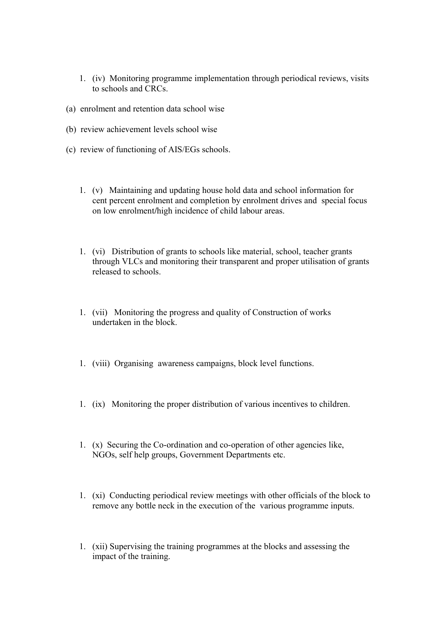- 1. (iv) Monitoring programme implementation through periodical reviews, visits to schools and CRCs.
- (a) enrolment and retention data school wise
- (b) review achievement levels school wise
- (c) review of functioning of AIS/EGs schools.
	- 1. (v) Maintaining and updating house hold data and school information for cent percent enrolment and completion by enrolment drives and special focus on low enrolment**/**high incidence of child labour areas.
	- 1. (vi) Distribution of grants to schools like material, school, teacher grants through VLCs and monitoring their transparent and proper utilisation of grants released to schools.
	- 1. (vii) Monitoring the progress and quality of Construction of works undertaken in the block.
	- 1. (viii) Organising awareness campaigns, block level functions.
	- 1. (ix) Monitoring the proper distribution of various incentives to children.
	- 1. (x) Securing the Co-ordination and co-operation of other agencies like, NGOs, self help groups, Government Departments etc.
	- 1. (xi) Conducting periodical review meetings with other officials of the block to remove any bottle neck in the execution of the various programme inputs.
	- 1. (xii) Supervising the training programmes at the blocks and assessing the impact of the training.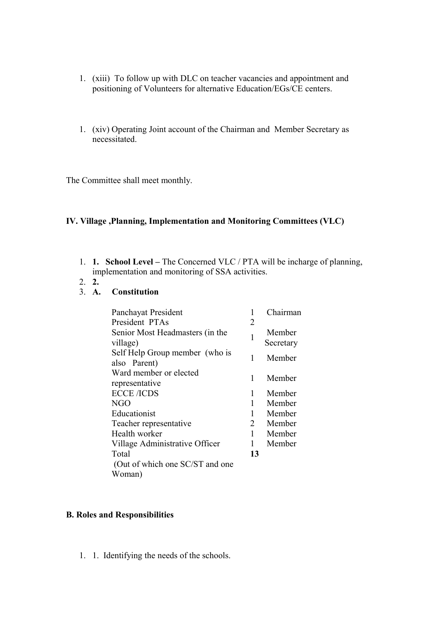- 1. (xiii) To follow up with DLC on teacher vacancies and appointment and positioning of Volunteers for alternative Education/EGs/CE centers.
- 1. (xiv) Operating Joint account of the Chairman and Member Secretary as necessitated.

The Committee shall meet monthly.

## **IV. Village ,Planning, Implementation and Monitoring Committees (VLC)**

- 1. **1. School Level** The Concerned VLC / PTA will be incharge of planning, implementation and monitoring of SSA activities.
- 2. **2.**

# 3. **A. Constitution**

| Panchayat President                            | 1  | Chairman            |
|------------------------------------------------|----|---------------------|
| President PTAs                                 | 2  |                     |
| Senior Most Headmasters (in the<br>village)    | 1  | Member<br>Secretary |
| Self Help Group member (who is<br>also Parent) | 1  | Member              |
| Ward member or elected<br>representative       | 1  | Member              |
| <b>ECCE /ICDS</b>                              | 1  | Member              |
| NGO                                            | 1  | Member              |
| Educationist                                   | 1  | Member              |
| Teacher representative                         | 2  | Member              |
| Health worker                                  | 1  | Member              |
| Village Administrative Officer                 | 1  | Member              |
| Total                                          | 13 |                     |
| (Out of which one SC/ST and one                |    |                     |
| Woman)                                         |    |                     |

### **B. Roles and Responsibilities**

1. 1. Identifying the needs of the schools.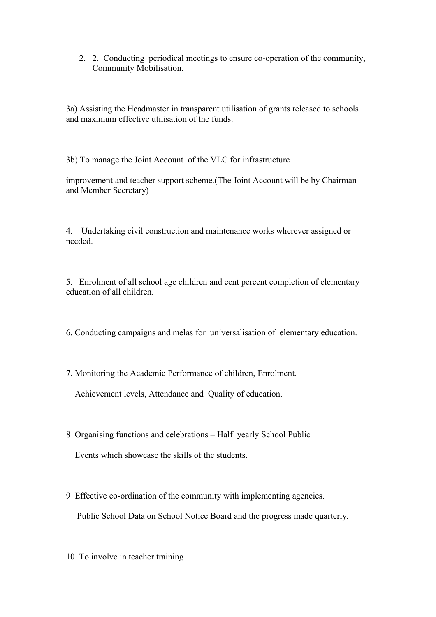2. 2. Conducting periodical meetings to ensure co-operation of the community, Community Mobilisation.

3a) Assisting the Headmaster in transparent utilisation of grants released to schools and maximum effective utilisation of the funds.

3b) To manage the Joint Account of the VLC for infrastructure

improvement and teacher support scheme.(The Joint Account will be by Chairman and Member Secretary)

4. Undertaking civil construction and maintenance works wherever assigned or needed.

5. Enrolment of all school age children and cent percent completion of elementary education of all children.

- 6. Conducting campaigns and melas for universalisation of elementary education.
- 7. Monitoring the Academic Performance of children, Enrolment.

Achievement levels, Attendance and Quality of education.

- 8 Organising functions and celebrations Half yearly School Public Events which showcase the skills of the students.
- 9 Effective co-ordination of the community with implementing agencies. Public School Data on School Notice Board and the progress made quarterly.
- 10 To involve in teacher training